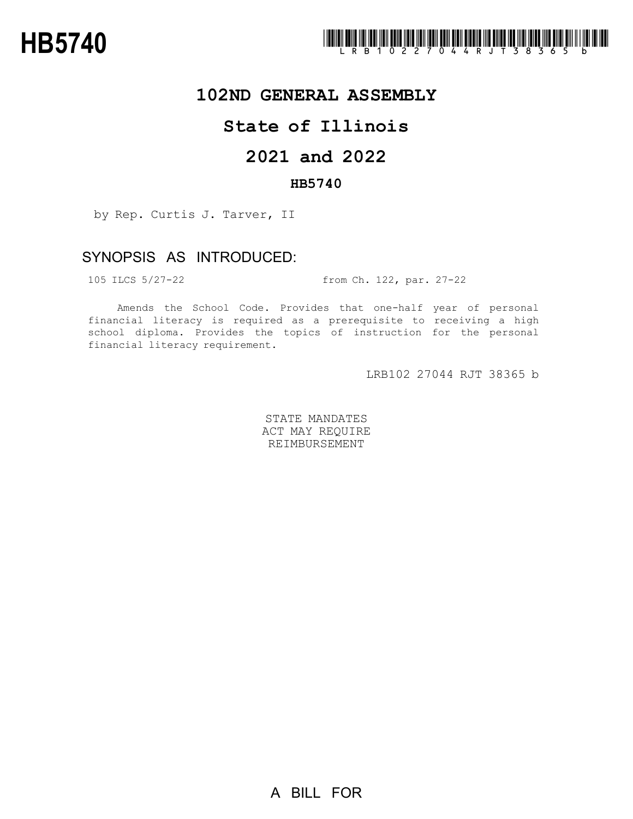

### **102ND GENERAL ASSEMBLY**

## **State of Illinois**

# **2021 and 2022**

#### **HB5740**

by Rep. Curtis J. Tarver, II

### SYNOPSIS AS INTRODUCED:

105 ILCS 5/27-22 from Ch. 122, par. 27-22

Amends the School Code. Provides that one-half year of personal financial literacy is required as a prerequisite to receiving a high school diploma. Provides the topics of instruction for the personal financial literacy requirement.

LRB102 27044 RJT 38365 b

STATE MANDATES ACT MAY REQUIRE REIMBURSEMENT

A BILL FOR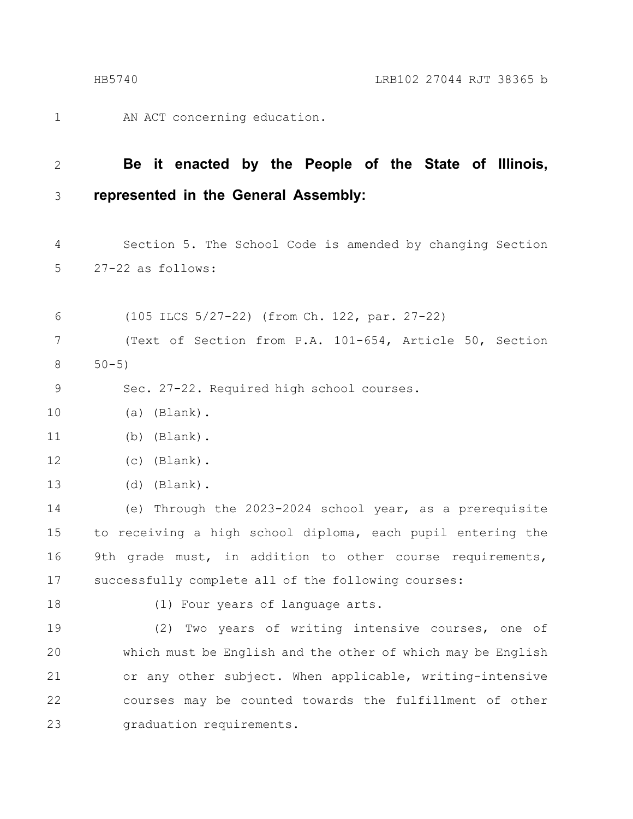AN ACT concerning education. 1

#### **Be it enacted by the People of the State of Illinois, represented in the General Assembly:** 2 3

Section 5. The School Code is amended by changing Section 27-22 as follows: 4 5

(105 ILCS 5/27-22) (from Ch. 122, par. 27-22) (Text of Section from P.A. 101-654, Article 50, Section  $50 - 5)$ 6 7 8

Sec. 27-22. Required high school courses. 9

(a) (Blank). 10

(b) (Blank). 11

(c) (Blank). 12

(d) (Blank). 13

(e) Through the 2023-2024 school year, as a prerequisite to receiving a high school diploma, each pupil entering the 9th grade must, in addition to other course requirements, successfully complete all of the following courses: 14 15 16 17

18

(1) Four years of language arts.

(2) Two years of writing intensive courses, one of which must be English and the other of which may be English or any other subject. When applicable, writing-intensive courses may be counted towards the fulfillment of other graduation requirements. 19 20 21 22 23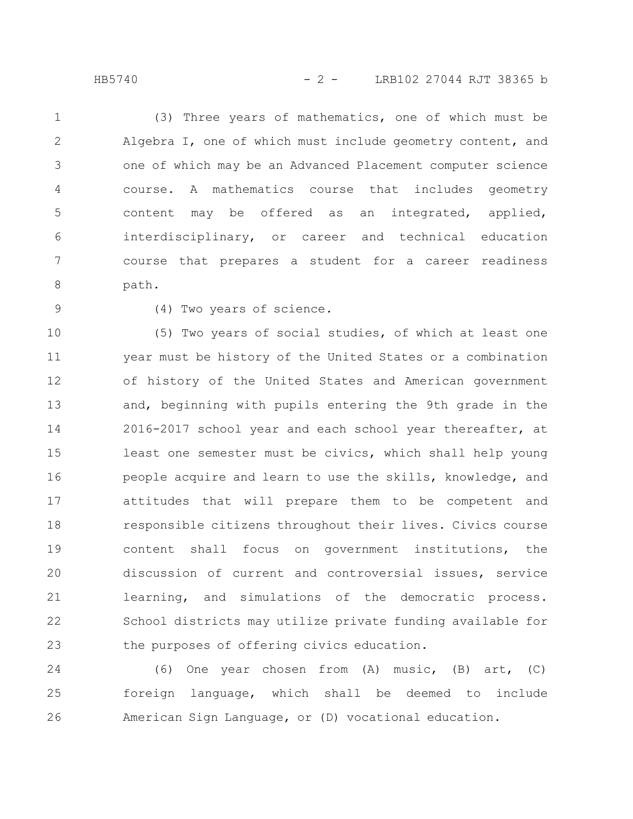(3) Three years of mathematics, one of which must be Algebra I, one of which must include geometry content, and one of which may be an Advanced Placement computer science course. A mathematics course that includes geometry content may be offered as an integrated, applied, interdisciplinary, or career and technical education course that prepares a student for a career readiness path. 1 2 3 4 5 6 7 8

9

(4) Two years of science.

(5) Two years of social studies, of which at least one year must be history of the United States or a combination of history of the United States and American government and, beginning with pupils entering the 9th grade in the 2016-2017 school year and each school year thereafter, at least one semester must be civics, which shall help young people acquire and learn to use the skills, knowledge, and attitudes that will prepare them to be competent and responsible citizens throughout their lives. Civics course content shall focus on government institutions, the discussion of current and controversial issues, service learning, and simulations of the democratic process. School districts may utilize private funding available for the purposes of offering civics education. 10 11 12 13 14 15 16 17 18 19 20 21 22 23

(6) One year chosen from (A) music, (B) art, (C) foreign language, which shall be deemed to include American Sign Language, or (D) vocational education. 24 25 26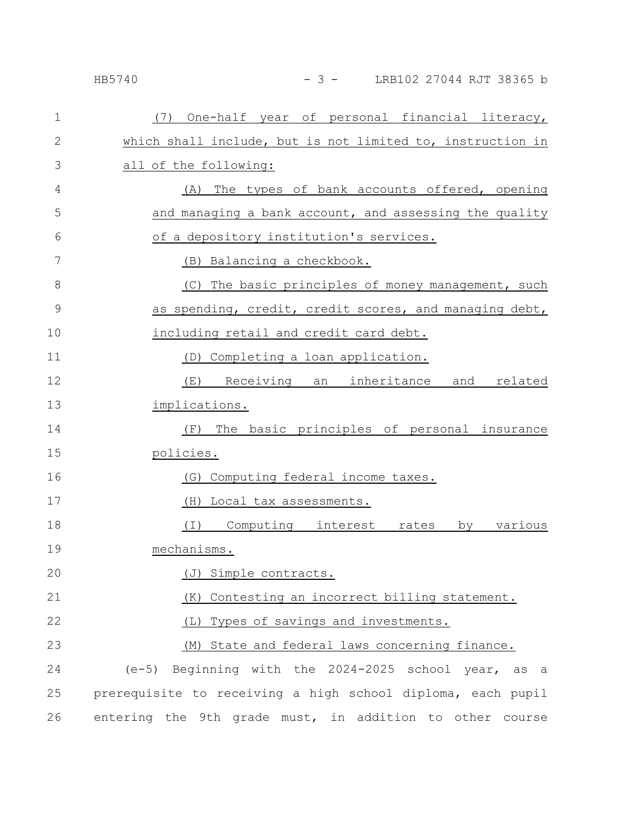### HB5740 - 3 - LRB102 27044 RJT 38365 b

| $\mathbf{1}$  | (7) One-half year of personal financial literacy,           |
|---------------|-------------------------------------------------------------|
| $\mathbf{2}$  | which shall include, but is not limited to, instruction in  |
| 3             | all of the following:                                       |
| 4             | The types of bank accounts offered, opening<br>(A)          |
| 5             | and managing a bank account, and assessing the quality      |
| 6             | of a depository institution's services.                     |
| 7             | (B) Balancing a checkbook.                                  |
| 8             | (C) The basic principles of money management, such          |
| $\mathcal{G}$ | as spending, credit, credit scores, and managing debt,      |
| 10            | including retail and credit card debt.                      |
| 11            | (D) Completing a loan application.                          |
| 12            | (E) Receiving an inheritance and related                    |
| 13            | implications.                                               |
| 14            | The basic principles of personal insurance<br>(F)           |
| 15            | policies.                                                   |
| 16            | Computing federal income taxes.<br>(G)                      |
| 17            | (H) Local tax assessments.                                  |
| 18            | (I) Computing interest rates<br>by various                  |
| 19            | mechanisms.                                                 |
| 20            | (J) Simple contracts.                                       |
| 21            | (K) Contesting an incorrect billing statement.              |
| 22            | (L) Types of savings and investments.                       |
| 23            | (M) State and federal laws concerning finance.              |
| 24            | (e-5) Beginning with the 2024-2025 school year, as a        |
| 25            | prerequisite to receiving a high school diploma, each pupil |
| 26            | entering the 9th grade must, in addition to other course    |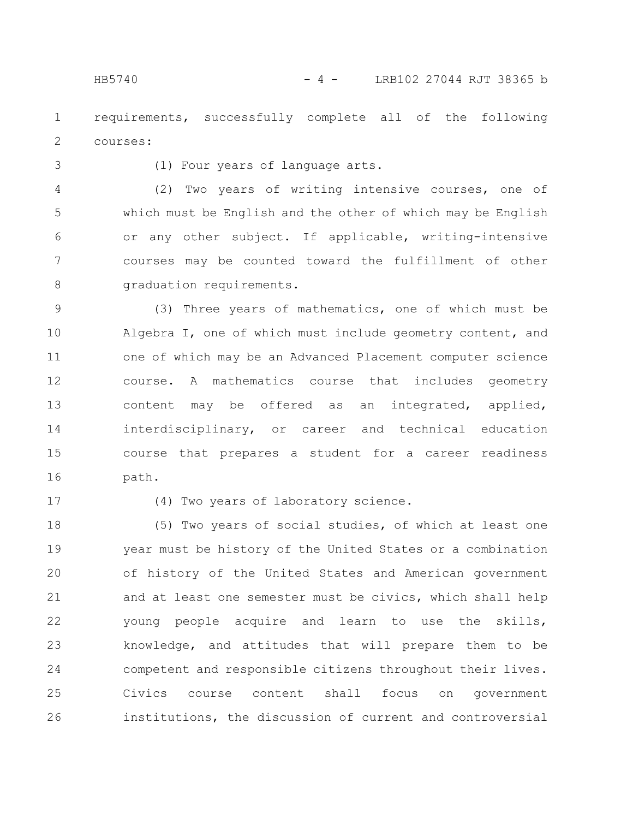requirements, successfully complete all of the following courses: 1 2

3

(1) Four years of language arts.

(2) Two years of writing intensive courses, one of which must be English and the other of which may be English or any other subject. If applicable, writing-intensive courses may be counted toward the fulfillment of other graduation requirements. 4 5 6 7 8

(3) Three years of mathematics, one of which must be Algebra I, one of which must include geometry content, and one of which may be an Advanced Placement computer science course. A mathematics course that includes geometry content may be offered as an integrated, applied, interdisciplinary, or career and technical education course that prepares a student for a career readiness path. 9 10 11 12 13 14 15 16

17

(4) Two years of laboratory science.

(5) Two years of social studies, of which at least one year must be history of the United States or a combination of history of the United States and American government and at least one semester must be civics, which shall help young people acquire and learn to use the skills, knowledge, and attitudes that will prepare them to be competent and responsible citizens throughout their lives. Civics course content shall focus on government institutions, the discussion of current and controversial 18 19 20 21 22 23 24 25 26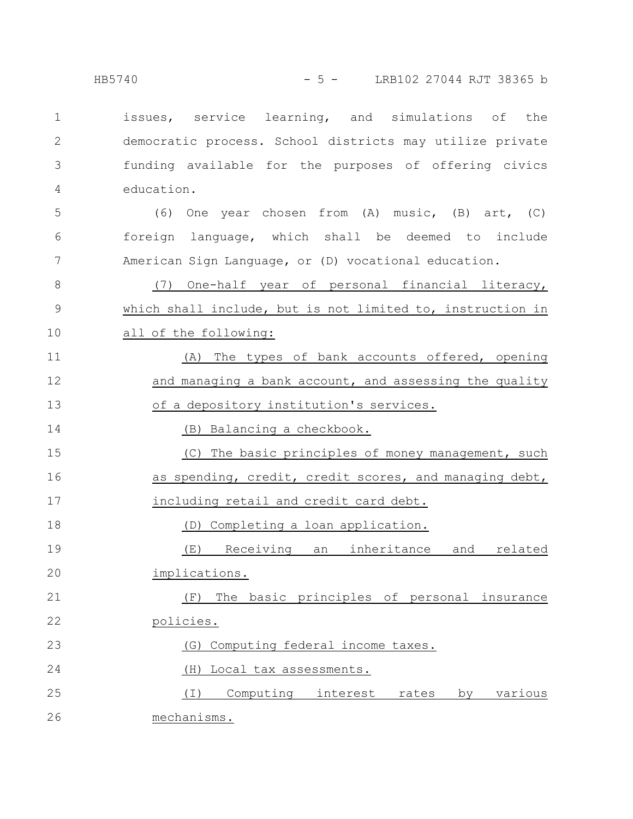issues, service learning, and simulations of the democratic process. School districts may utilize private funding available for the purposes of offering civics education. (6) One year chosen from (A) music, (B) art, (C) foreign language, which shall be deemed to include American Sign Language, or (D) vocational education. (7) One-half year of personal financial literacy, which shall include, but is not limited to, instruction in all of the following: (A) The types of bank accounts offered, opening and managing a bank account, and assessing the quality of a depository institution's services. (B) Balancing a checkbook. (C) The basic principles of money management, such as spending, credit, credit scores, and managing debt, including retail and credit card debt. (D) Completing a loan application. (E) Receiving an inheritance and related implications. (F) The basic principles of personal insurance policies. (G) Computing federal income taxes. (H) Local tax assessments. (I) Computing interest rates by various mechanisms. 1 2 3 4 5 6 7 8 9 10 11 12 13 14 15 16 17 18 19 20 21 22 23 24 25 26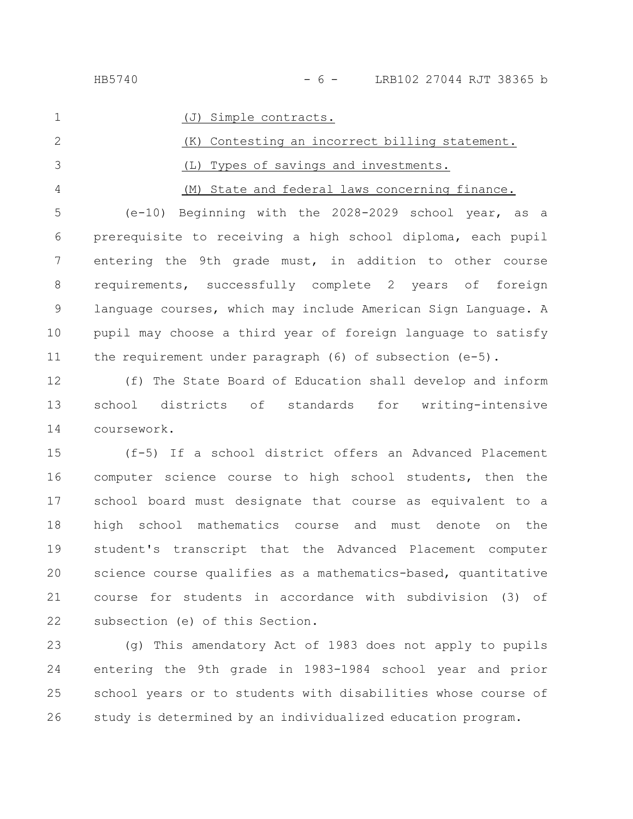1

(J) Simple contracts.

(K) Contesting an incorrect billing statement. (L) Types of savings and investments. (M) State and federal laws concerning finance. 2 3 4

(e-10) Beginning with the 2028-2029 school year, as a prerequisite to receiving a high school diploma, each pupil entering the 9th grade must, in addition to other course requirements, successfully complete 2 years of foreign language courses, which may include American Sign Language. A pupil may choose a third year of foreign language to satisfy the requirement under paragraph (6) of subsection (e-5). 5 6 7 8 9 10 11

(f) The State Board of Education shall develop and inform school districts of standards for writing-intensive coursework. 12 13 14

(f-5) If a school district offers an Advanced Placement computer science course to high school students, then the school board must designate that course as equivalent to a high school mathematics course and must denote on the student's transcript that the Advanced Placement computer science course qualifies as a mathematics-based, quantitative course for students in accordance with subdivision (3) of subsection (e) of this Section. 15 16 17 18 19 20 21 22

(g) This amendatory Act of 1983 does not apply to pupils entering the 9th grade in 1983-1984 school year and prior school years or to students with disabilities whose course of study is determined by an individualized education program. 23 24 25 26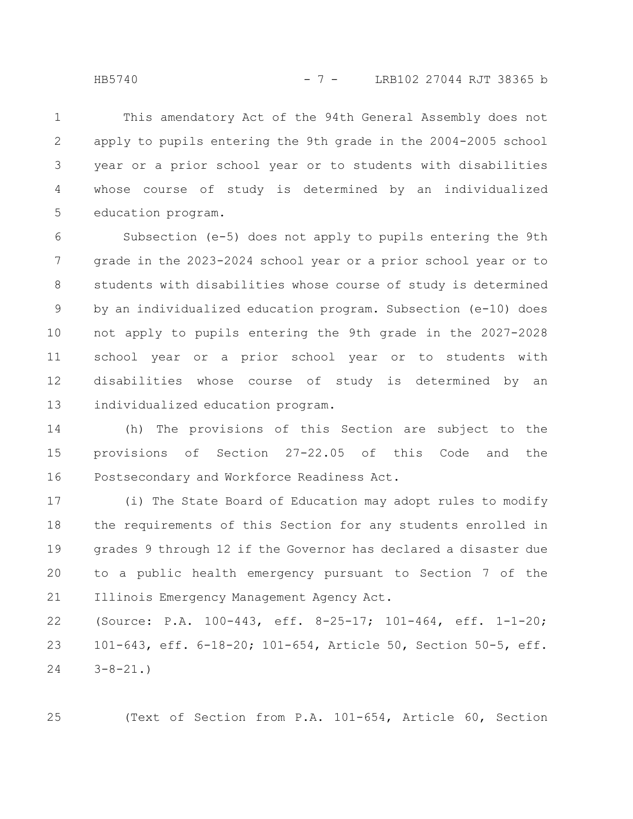This amendatory Act of the 94th General Assembly does not apply to pupils entering the 9th grade in the 2004-2005 school year or a prior school year or to students with disabilities whose course of study is determined by an individualized education program. 1 2 3 4 5

Subsection (e-5) does not apply to pupils entering the 9th grade in the 2023-2024 school year or a prior school year or to students with disabilities whose course of study is determined by an individualized education program. Subsection (e-10) does not apply to pupils entering the 9th grade in the 2027-2028 school year or a prior school year or to students with disabilities whose course of study is determined by an individualized education program. 6 7 8 9 10 11 12 13

(h) The provisions of this Section are subject to the provisions of Section 27-22.05 of this Code and the Postsecondary and Workforce Readiness Act. 14 15 16

(i) The State Board of Education may adopt rules to modify the requirements of this Section for any students enrolled in grades 9 through 12 if the Governor has declared a disaster due to a public health emergency pursuant to Section 7 of the Illinois Emergency Management Agency Act. 17 18 19 20 21

(Source: P.A. 100-443, eff. 8-25-17; 101-464, eff. 1-1-20; 101-643, eff. 6-18-20; 101-654, Article 50, Section 50-5, eff.  $3 - 8 - 21.$ 22 23 24

(Text of Section from P.A. 101-654, Article 60, Section

25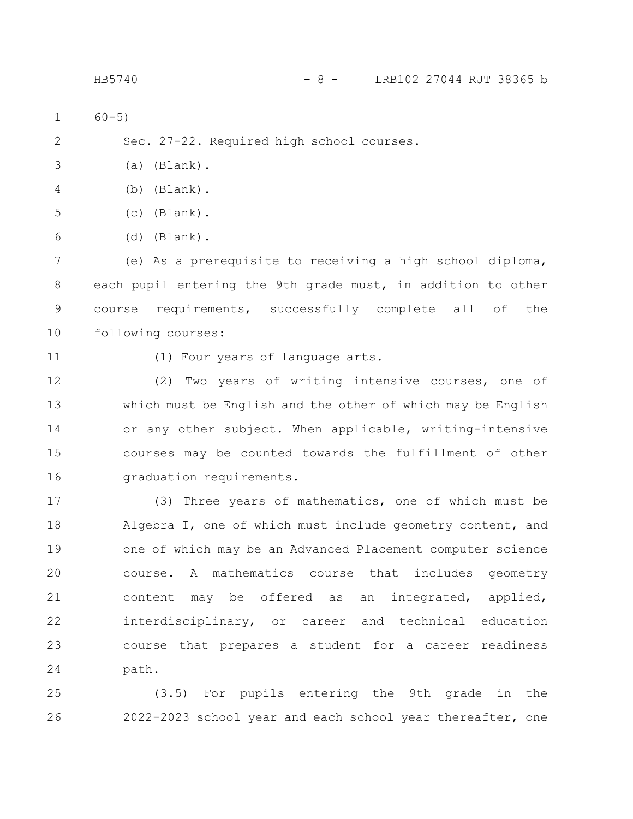| $\mathbf 1$ | $60 - 5)$                                                    |
|-------------|--------------------------------------------------------------|
| 2           | Sec. 27-22. Required high school courses.                    |
| 3           | $(a)$ (Blank).                                               |
| 4           | (Blank).<br>(b)                                              |
| 5           | $(c)$ (Blank).                                               |
| 6           | $(d)$ (Blank).                                               |
| 7           | (e) As a prerequisite to receiving a high school diploma,    |
| 8           | each pupil entering the 9th grade must, in addition to other |
| $\mathsf 9$ | requirements, successfully complete all of<br>the<br>course  |
| 10          | following courses:                                           |
| 11          | (1) Four years of language arts.                             |
| 12          | Two years of writing intensive courses, one of<br>(2)        |
| 13          | which must be English and the other of which may be English  |
| 14          | or any other subject. When applicable, writing-intensive     |
| 15          | courses may be counted towards the fulfillment of other      |
| 16          | graduation requirements.                                     |
| 17          | (3) Three years of mathematics, one of which must be         |
| 18          | Algebra I, one of which must include geometry content, and   |
| 19          | one of which may be an Advanced Placement computer science   |
| 20          | course. A mathematics course that includes geometry          |
| 21          | content may be offered as an integrated, applied,            |
| 22          | interdisciplinary, or career and technical education         |
| 23          | course that prepares a student for a career readiness        |
| 24          | path.                                                        |
|             |                                                              |

(3.5) For pupils entering the 9th grade in the 2022-2023 school year and each school year thereafter, one 25 26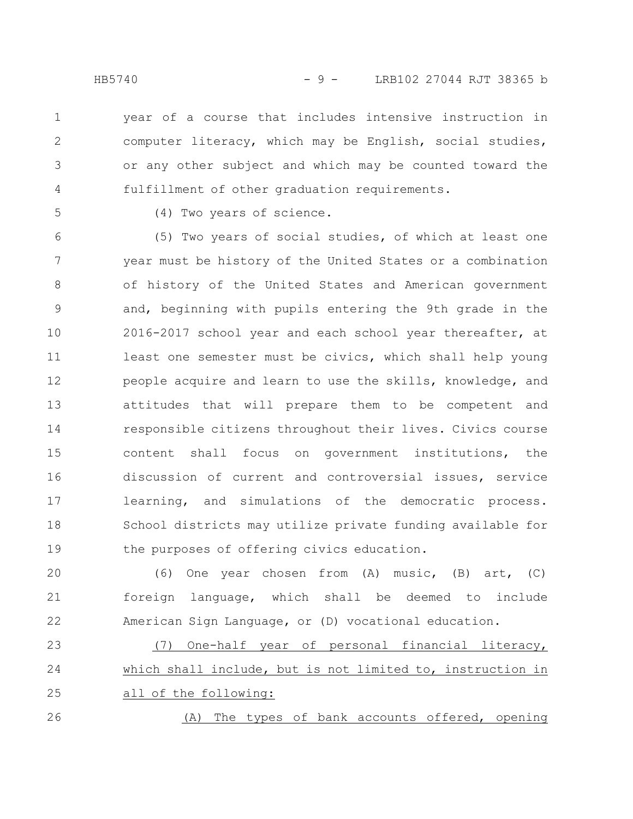year of a course that includes intensive instruction in computer literacy, which may be English, social studies, or any other subject and which may be counted toward the fulfillment of other graduation requirements. 1 2 3 4

5

26

(4) Two years of science.

(5) Two years of social studies, of which at least one year must be history of the United States or a combination of history of the United States and American government and, beginning with pupils entering the 9th grade in the 2016-2017 school year and each school year thereafter, at least one semester must be civics, which shall help young people acquire and learn to use the skills, knowledge, and attitudes that will prepare them to be competent and responsible citizens throughout their lives. Civics course content shall focus on government institutions, the discussion of current and controversial issues, service learning, and simulations of the democratic process. School districts may utilize private funding available for the purposes of offering civics education. 6 7 8 9 10 11 12 13 14 15 16 17 18 19

(6) One year chosen from (A) music, (B) art, (C) foreign language, which shall be deemed to include American Sign Language, or (D) vocational education. 20 21 22

(7) One-half year of personal financial literacy, which shall include, but is not limited to, instruction in all of the following: 23 24 25

(A) The types of bank accounts offered, opening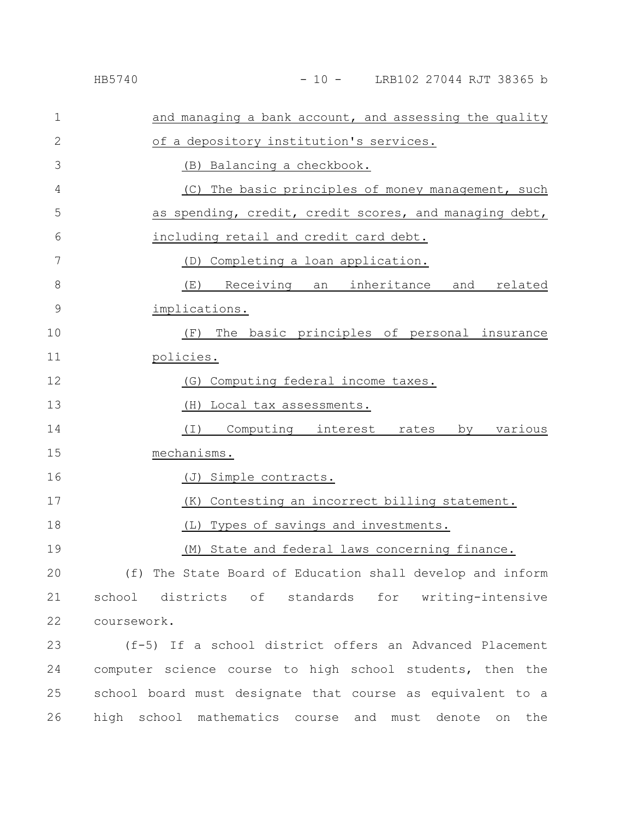#### HB5740 - 10 - LRB102 27044 RJT 38365 b

| 1             | and managing a bank account, and assessing the quality     |
|---------------|------------------------------------------------------------|
| 2             | of a depository institution's services.                    |
| 3             | (B) Balancing a checkbook.                                 |
| 4             | (C) The basic principles of money management, such         |
| 5             | as spending, credit, credit scores, and managing debt,     |
| 6             | including retail and credit card debt.                     |
| 7             | (D) Completing a loan application.                         |
| 8             | (E)<br>Receiving an inheritance and related                |
| $\mathcal{G}$ | implications.                                              |
| 10            | The basic principles of personal insurance<br>(F)          |
| 11            | policies.                                                  |
| 12            | (G) Computing federal income taxes.                        |
| 13            | (H)<br>Local tax assessments.                              |
| 14            | ( I )<br>Computing interest rates<br>various<br>by         |
| 15            | mechanisms.                                                |
| 16            | Simple contracts.<br>(J)                                   |
| 17            | (K) Contesting an incorrect billing statement.             |
| 18            | Types of savings and investments.<br>(L)                   |
| 19            | State and federal laws concerning finance.<br>(M)          |
| 20            | (f) The State Board of Education shall develop and inform  |
| 21            | school<br>districts of standards for writing-intensive     |
| 22            | coursework.                                                |
| 23            | (f-5) If a school district offers an Advanced Placement    |
| 24            | computer science course to high school students, then the  |
|               |                                                            |
| 25            | school board must designate that course as equivalent to a |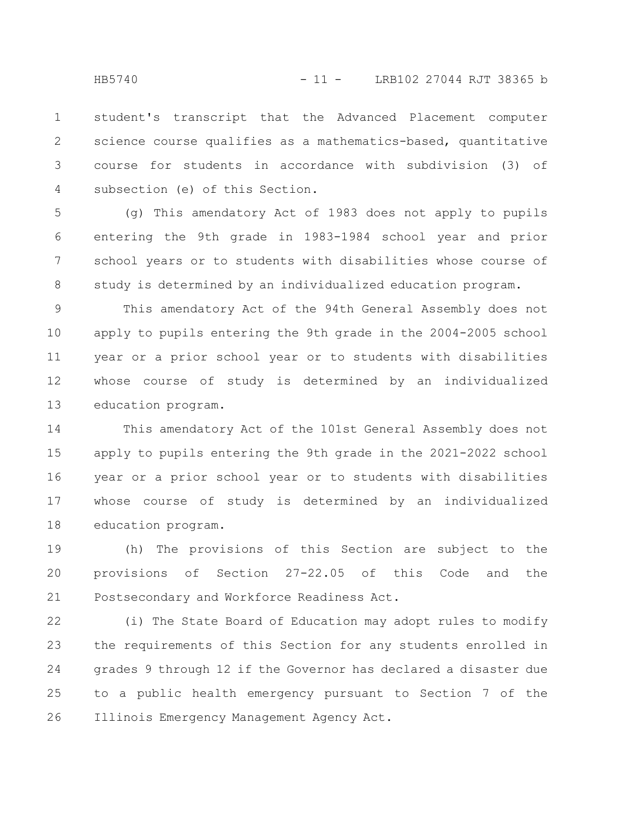student's transcript that the Advanced Placement computer science course qualifies as a mathematics-based, quantitative course for students in accordance with subdivision (3) of subsection (e) of this Section. 1 2 3 4

(g) This amendatory Act of 1983 does not apply to pupils entering the 9th grade in 1983-1984 school year and prior school years or to students with disabilities whose course of study is determined by an individualized education program. 5 6 7 8

This amendatory Act of the 94th General Assembly does not apply to pupils entering the 9th grade in the 2004-2005 school year or a prior school year or to students with disabilities whose course of study is determined by an individualized education program. 9 10 11 12 13

This amendatory Act of the 101st General Assembly does not apply to pupils entering the 9th grade in the 2021-2022 school year or a prior school year or to students with disabilities whose course of study is determined by an individualized education program. 14 15 16 17 18

(h) The provisions of this Section are subject to the provisions of Section 27-22.05 of this Code and the Postsecondary and Workforce Readiness Act. 19 20 21

(i) The State Board of Education may adopt rules to modify the requirements of this Section for any students enrolled in grades 9 through 12 if the Governor has declared a disaster due to a public health emergency pursuant to Section 7 of the Illinois Emergency Management Agency Act. 22 23 24 25 26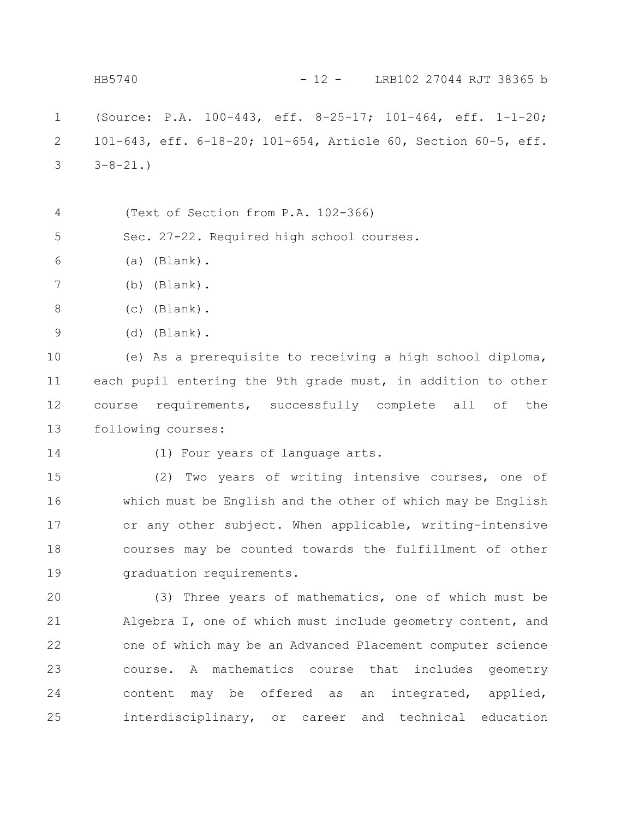(Source: P.A. 100-443, eff. 8-25-17; 101-464, eff. 1-1-20; 101-643, eff. 6-18-20; 101-654, Article 60, Section 60-5, eff.  $3 - 8 - 21.$ (Text of Section from P.A. 102-366) Sec. 27-22. Required high school courses. (a) (Blank). (b) (Blank). (c) (Blank). (d) (Blank). (e) As a prerequisite to receiving a high school diploma, each pupil entering the 9th grade must, in addition to other course requirements, successfully complete all of the following courses: (1) Four years of language arts. (2) Two years of writing intensive courses, one of which must be English and the other of which may be English or any other subject. When applicable, writing-intensive courses may be counted towards the fulfillment of other graduation requirements. (3) Three years of mathematics, one of which must be Algebra I, one of which must include geometry content, and one of which may be an Advanced Placement computer science course. A mathematics course that includes geometry content may be offered as an integrated, applied, interdisciplinary, or career and technical education 1 2 3 4 5 6 7 8 9 10 11 12 13 14 15 16 17 18 19 20 21 22 23 24 25 HB5740 - 12 - LRB102 27044 RJT 38365 b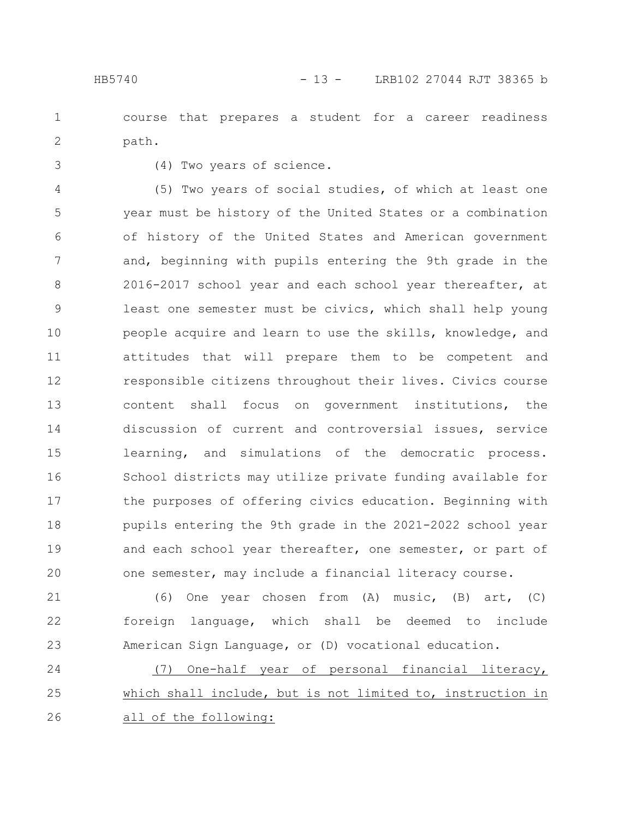course that prepares a student for a career readiness path. 1 2

3

(4) Two years of science.

(5) Two years of social studies, of which at least one year must be history of the United States or a combination of history of the United States and American government and, beginning with pupils entering the 9th grade in the 2016-2017 school year and each school year thereafter, at least one semester must be civics, which shall help young people acquire and learn to use the skills, knowledge, and attitudes that will prepare them to be competent and responsible citizens throughout their lives. Civics course content shall focus on government institutions, the discussion of current and controversial issues, service learning, and simulations of the democratic process. School districts may utilize private funding available for the purposes of offering civics education. Beginning with pupils entering the 9th grade in the 2021-2022 school year and each school year thereafter, one semester, or part of one semester, may include a financial literacy course. 4 5 6 7 8 9 10 11 12 13 14 15 16 17 18 19 20

(6) One year chosen from (A) music, (B) art, (C) foreign language, which shall be deemed to include American Sign Language, or (D) vocational education. 21 22 23

(7) One-half year of personal financial literacy, which shall include, but is not limited to, instruction in all of the following: 24 25 26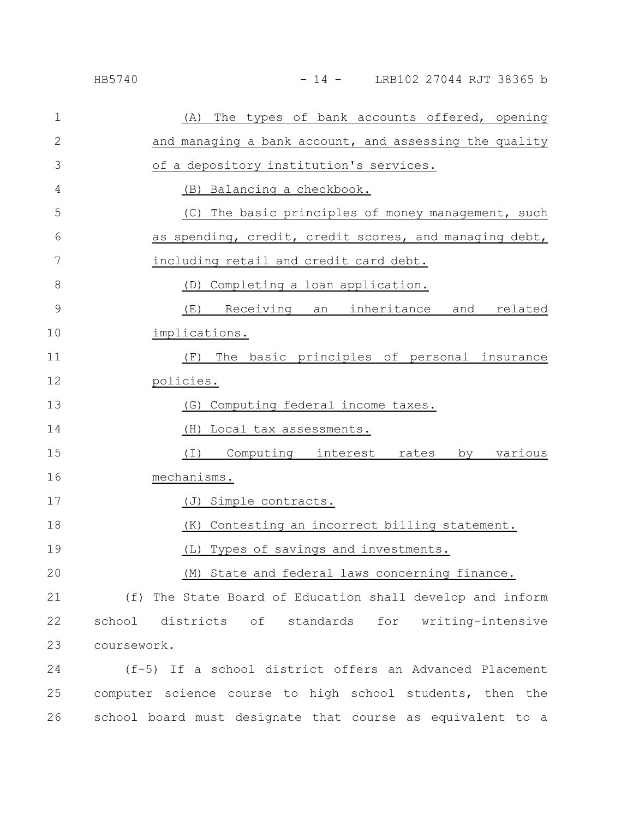| $\mathbf 1$ | The types of bank accounts offered, opening<br>(A)        |
|-------------|-----------------------------------------------------------|
| 2           | and managing a bank account, and assessing the quality    |
| 3           | of a depository institution's services.                   |
| 4           | (B) Balancing a checkbook.                                |
| 5           | (C) The basic principles of money management, such        |
| 6           | as spending, credit, credit scores, and managing debt,    |
| 7           | including retail and credit card debt.                    |
| 8           | (D) Completing a loan application.                        |
| $\mathsf 9$ | Receiving an inheritance and related<br>(E)               |
| 10          | implications.                                             |
| 11          | The basic principles of personal insurance<br>(F)         |
| 12          | policies.                                                 |
| 13          | Computing federal income taxes.<br>(G)                    |
| 14          | Local tax assessments.<br>(H)                             |
| 15          | Computing interest rates<br>various<br>(I)<br>by          |
| 16          | mechanisms.                                               |
| 17          | (J) Simple contracts.                                     |
| 18          | Contesting an incorrect billing statement.<br>(K)         |
| 19          | Types of savings and investments.<br>(L)                  |
| 20          | (M) State and federal laws concerning finance.            |
| 21          | (f) The State Board of Education shall develop and inform |
| 22          | for writing-intensive<br>school districts of standards    |
| 23          | coursework.                                               |
| 24          | (f-5) If a school district offers an Advanced Placement   |

25 computer science course to high school students, then the school board must designate that course as equivalent to a 26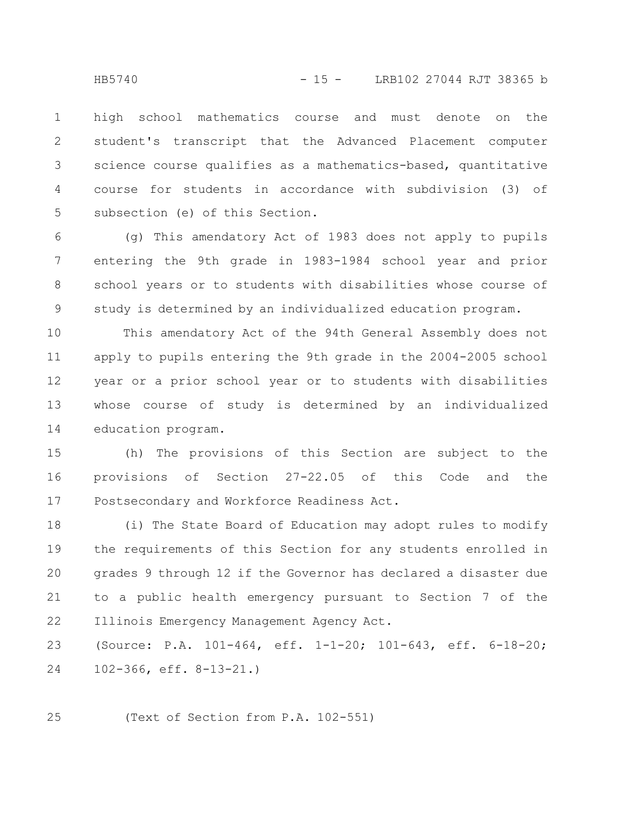high school mathematics course and must denote on the student's transcript that the Advanced Placement computer science course qualifies as a mathematics-based, quantitative course for students in accordance with subdivision (3) of subsection (e) of this Section. 1 2 3 4 5

(g) This amendatory Act of 1983 does not apply to pupils entering the 9th grade in 1983-1984 school year and prior school years or to students with disabilities whose course of study is determined by an individualized education program. 6 7 8 9

This amendatory Act of the 94th General Assembly does not apply to pupils entering the 9th grade in the 2004-2005 school year or a prior school year or to students with disabilities whose course of study is determined by an individualized education program. 10 11 12 13 14

(h) The provisions of this Section are subject to the provisions of Section 27-22.05 of this Code and the Postsecondary and Workforce Readiness Act. 15 16 17

(i) The State Board of Education may adopt rules to modify the requirements of this Section for any students enrolled in grades 9 through 12 if the Governor has declared a disaster due to a public health emergency pursuant to Section 7 of the Illinois Emergency Management Agency Act. 18 19 20 21 22

(Source: P.A. 101-464, eff. 1-1-20; 101-643, eff. 6-18-20; 102-366, eff. 8-13-21.) 23 24

(Text of Section from P.A. 102-551) 25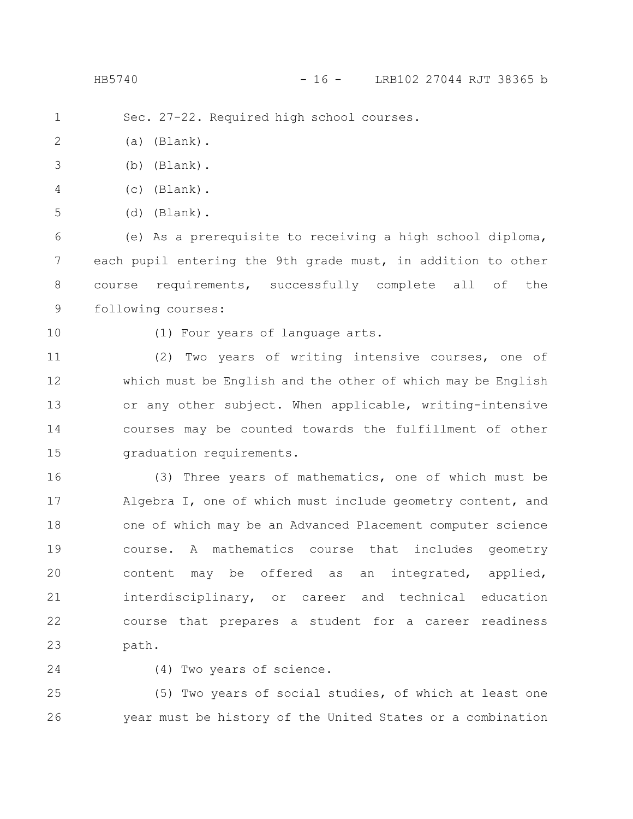HB5740 - 16 - LRB102 27044 RJT 38365 b

Sec. 27-22. Required high school courses. 1

(a) (Blank). 2

- (b) (Blank). 3
- (c) (Blank). 4
- (d) (Blank). 5

(e) As a prerequisite to receiving a high school diploma, each pupil entering the 9th grade must, in addition to other course requirements, successfully complete all of the following courses: 6 7 8 9

10

(1) Four years of language arts.

(2) Two years of writing intensive courses, one of which must be English and the other of which may be English or any other subject. When applicable, writing-intensive courses may be counted towards the fulfillment of other graduation requirements. 11 12 13 14 15

(3) Three years of mathematics, one of which must be Algebra I, one of which must include geometry content, and one of which may be an Advanced Placement computer science course. A mathematics course that includes geometry content may be offered as an integrated, applied, interdisciplinary, or career and technical education course that prepares a student for a career readiness path. 16 17 18 19 20 21 22 23

24

(4) Two years of science.

(5) Two years of social studies, of which at least one year must be history of the United States or a combination 25 26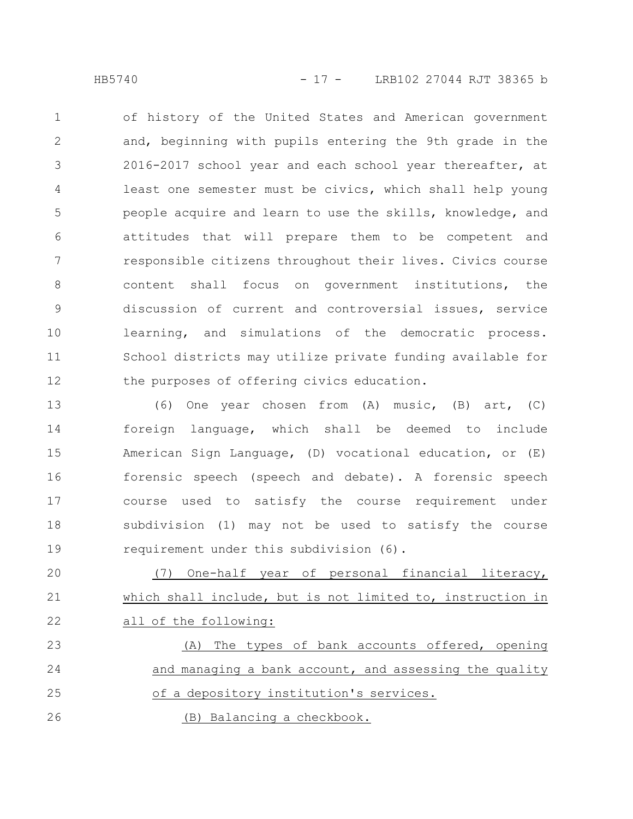of history of the United States and American government and, beginning with pupils entering the 9th grade in the 2016-2017 school year and each school year thereafter, at least one semester must be civics, which shall help young people acquire and learn to use the skills, knowledge, and attitudes that will prepare them to be competent and responsible citizens throughout their lives. Civics course content shall focus on government institutions, the discussion of current and controversial issues, service learning, and simulations of the democratic process. School districts may utilize private funding available for the purposes of offering civics education. 1 2 3 4 5 6 7 8 9 10 11 12

(6) One year chosen from (A) music, (B) art, (C) foreign language, which shall be deemed to include American Sign Language, (D) vocational education, or (E) forensic speech (speech and debate). A forensic speech course used to satisfy the course requirement under subdivision (1) may not be used to satisfy the course requirement under this subdivision (6). 13 14 15 16 17 18 19

(7) One-half year of personal financial literacy, which shall include, but is not limited to, instruction in all of the following: 20 21 22

(A) The types of bank accounts offered, opening and managing a bank account, and assessing the quality of a depository institution's services. (B) Balancing a checkbook. 23 24 25 26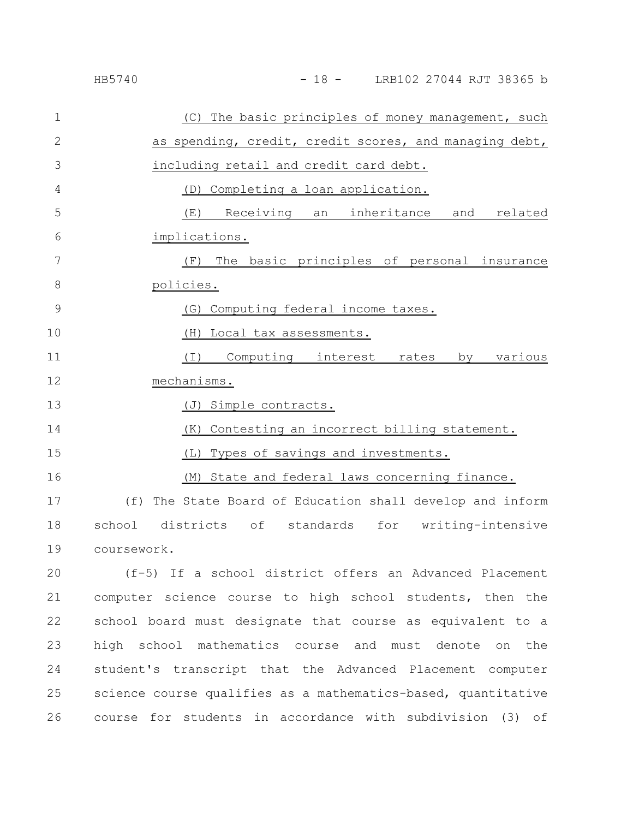| $\mathbf 1$   | (C) The basic principles of money management, such           |
|---------------|--------------------------------------------------------------|
| 2             | as spending, credit, credit scores, and managing debt,       |
| 3             | including retail and credit card debt.                       |
| 4             | (D) Completing a loan application.                           |
| 5             | Receiving<br>an inheritance and<br>related<br>(E)            |
| 6             | implications.                                                |
| 7             | The basic principles of personal insurance<br>(F)            |
| 8             | policies.                                                    |
| $\mathcal{G}$ | Computing federal income taxes.<br>(G)                       |
| 10            | Local tax assessments.<br>(H)                                |
| 11            | (I) Computing interest rates by various                      |
| 12            | mechanisms.                                                  |
| 13            | Simple contracts.<br>(J)                                     |
| 14            | Contesting an incorrect billing statement.<br>(K)            |
| 15            | Types of savings and investments.<br>(L)                     |
| 16            | State and federal laws concerning finance.<br>(M)            |
| 17            | The State Board of Education shall develop and inform<br>(f) |
| 18            | districts of<br>standards for writing-intensive<br>school    |
| 19            | coursework.                                                  |

(f-5) If a school district offers an Advanced Placement computer science course to high school students, then the school board must designate that course as equivalent to a high school mathematics course and must denote on the student's transcript that the Advanced Placement computer science course qualifies as a mathematics-based, quantitative course for students in accordance with subdivision (3) of 20 21 22 23 24 25 26